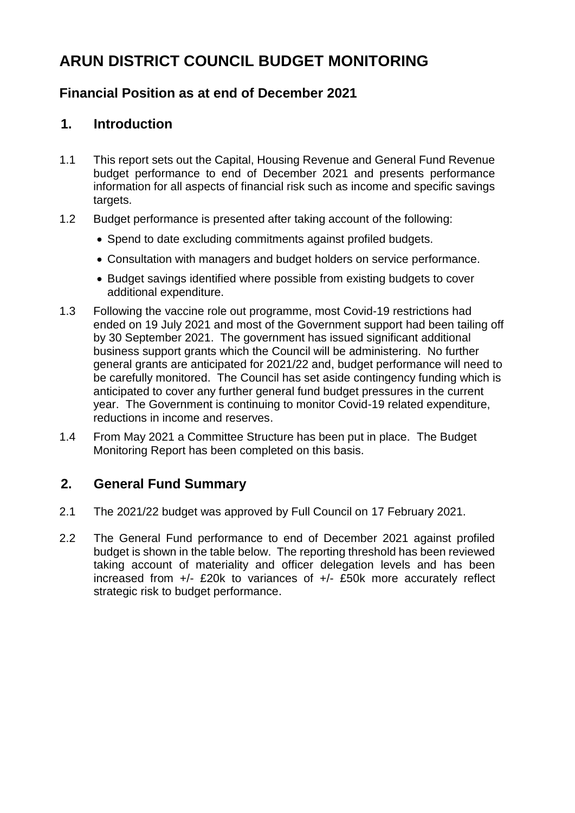# **ARUN DISTRICT COUNCIL BUDGET MONITORING**

# **Financial Position as at end of December 2021**

# **1. Introduction**

- 1.1 This report sets out the Capital, Housing Revenue and General Fund Revenue budget performance to end of December 2021 and presents performance information for all aspects of financial risk such as income and specific savings targets.
- 1.2 Budget performance is presented after taking account of the following:
	- Spend to date excluding commitments against profiled budgets.
	- Consultation with managers and budget holders on service performance.
	- Budget savings identified where possible from existing budgets to cover additional expenditure.
- 1.3 Following the vaccine role out programme, most Covid-19 restrictions had ended on 19 July 2021 and most of the Government support had been tailing off by 30 September 2021. The government has issued significant additional business support grants which the Council will be administering. No further general grants are anticipated for 2021/22 and, budget performance will need to be carefully monitored. The Council has set aside contingency funding which is anticipated to cover any further general fund budget pressures in the current year. The Government is continuing to monitor Covid-19 related expenditure, reductions in income and reserves.
- 1.4 From May 2021 a Committee Structure has been put in place. The Budget Monitoring Report has been completed on this basis.

# **2. General Fund Summary**

- 2.1 The 2021/22 budget was approved by Full Council on 17 February 2021.
- 2.2 The General Fund performance to end of December 2021 against profiled budget is shown in the table below. The reporting threshold has been reviewed taking account of materiality and officer delegation levels and has been increased from +/- £20k to variances of +/- £50k more accurately reflect strategic risk to budget performance.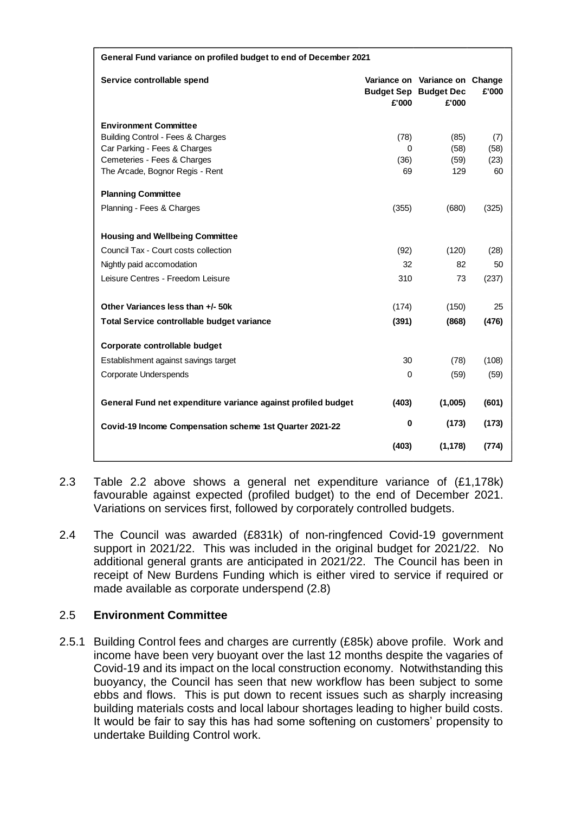| Service controllable spend<br>Variance on Variance on Change<br>£'000<br><b>Budget Sep Budget Dec</b><br>£'000<br>£'000<br><b>Environment Committee</b><br>Building Control - Fees & Charges<br>(78)<br>(85)<br>(7)<br>Car Parking - Fees & Charges<br>(58)<br>(58)<br>0<br>Cemeteries - Fees & Charges<br>(36)<br>(59)<br>(23)<br>129<br>The Arcade, Bognor Regis - Rent<br>69<br>60<br><b>Planning Committee</b><br>Planning - Fees & Charges<br>(355)<br>(680)<br>(325)<br><b>Housing and Wellbeing Committee</b><br>Council Tax - Court costs collection<br>(92)<br>(120)<br>(28)<br>32<br>82<br>Nightly paid accomodation<br>50<br>Leisure Centres - Freedom Leisure<br>310<br>73<br>(237)<br>Other Variances less than +/- 50k<br>25<br>(174)<br>(150)<br>(391)<br>(476)<br>Total Service controllable budget variance<br>(868)<br>Corporate controllable budget<br>30<br>Establishment against savings target<br>(78)<br>(108)<br>Corporate Underspends<br>0<br>(59)<br>(59)<br>General Fund net expenditure variance against profiled budget<br>(403)<br>(1,005)<br>(601)<br>0<br>(173)<br>(173)<br>Covid-19 Income Compensation scheme 1st Quarter 2021-22<br>(403)<br>(1, 178)<br>(774) | General Fund variance on profiled budget to end of December 2021 |  |  |  |  |
|---------------------------------------------------------------------------------------------------------------------------------------------------------------------------------------------------------------------------------------------------------------------------------------------------------------------------------------------------------------------------------------------------------------------------------------------------------------------------------------------------------------------------------------------------------------------------------------------------------------------------------------------------------------------------------------------------------------------------------------------------------------------------------------------------------------------------------------------------------------------------------------------------------------------------------------------------------------------------------------------------------------------------------------------------------------------------------------------------------------------------------------------------------------------------------------------------|------------------------------------------------------------------|--|--|--|--|
|                                                                                                                                                                                                                                                                                                                                                                                                                                                                                                                                                                                                                                                                                                                                                                                                                                                                                                                                                                                                                                                                                                                                                                                                   |                                                                  |  |  |  |  |
|                                                                                                                                                                                                                                                                                                                                                                                                                                                                                                                                                                                                                                                                                                                                                                                                                                                                                                                                                                                                                                                                                                                                                                                                   |                                                                  |  |  |  |  |
|                                                                                                                                                                                                                                                                                                                                                                                                                                                                                                                                                                                                                                                                                                                                                                                                                                                                                                                                                                                                                                                                                                                                                                                                   |                                                                  |  |  |  |  |
|                                                                                                                                                                                                                                                                                                                                                                                                                                                                                                                                                                                                                                                                                                                                                                                                                                                                                                                                                                                                                                                                                                                                                                                                   |                                                                  |  |  |  |  |
|                                                                                                                                                                                                                                                                                                                                                                                                                                                                                                                                                                                                                                                                                                                                                                                                                                                                                                                                                                                                                                                                                                                                                                                                   |                                                                  |  |  |  |  |
|                                                                                                                                                                                                                                                                                                                                                                                                                                                                                                                                                                                                                                                                                                                                                                                                                                                                                                                                                                                                                                                                                                                                                                                                   |                                                                  |  |  |  |  |
|                                                                                                                                                                                                                                                                                                                                                                                                                                                                                                                                                                                                                                                                                                                                                                                                                                                                                                                                                                                                                                                                                                                                                                                                   |                                                                  |  |  |  |  |
|                                                                                                                                                                                                                                                                                                                                                                                                                                                                                                                                                                                                                                                                                                                                                                                                                                                                                                                                                                                                                                                                                                                                                                                                   |                                                                  |  |  |  |  |
|                                                                                                                                                                                                                                                                                                                                                                                                                                                                                                                                                                                                                                                                                                                                                                                                                                                                                                                                                                                                                                                                                                                                                                                                   |                                                                  |  |  |  |  |
|                                                                                                                                                                                                                                                                                                                                                                                                                                                                                                                                                                                                                                                                                                                                                                                                                                                                                                                                                                                                                                                                                                                                                                                                   |                                                                  |  |  |  |  |
|                                                                                                                                                                                                                                                                                                                                                                                                                                                                                                                                                                                                                                                                                                                                                                                                                                                                                                                                                                                                                                                                                                                                                                                                   |                                                                  |  |  |  |  |
|                                                                                                                                                                                                                                                                                                                                                                                                                                                                                                                                                                                                                                                                                                                                                                                                                                                                                                                                                                                                                                                                                                                                                                                                   |                                                                  |  |  |  |  |
|                                                                                                                                                                                                                                                                                                                                                                                                                                                                                                                                                                                                                                                                                                                                                                                                                                                                                                                                                                                                                                                                                                                                                                                                   |                                                                  |  |  |  |  |
|                                                                                                                                                                                                                                                                                                                                                                                                                                                                                                                                                                                                                                                                                                                                                                                                                                                                                                                                                                                                                                                                                                                                                                                                   |                                                                  |  |  |  |  |
|                                                                                                                                                                                                                                                                                                                                                                                                                                                                                                                                                                                                                                                                                                                                                                                                                                                                                                                                                                                                                                                                                                                                                                                                   |                                                                  |  |  |  |  |
|                                                                                                                                                                                                                                                                                                                                                                                                                                                                                                                                                                                                                                                                                                                                                                                                                                                                                                                                                                                                                                                                                                                                                                                                   |                                                                  |  |  |  |  |
|                                                                                                                                                                                                                                                                                                                                                                                                                                                                                                                                                                                                                                                                                                                                                                                                                                                                                                                                                                                                                                                                                                                                                                                                   |                                                                  |  |  |  |  |
|                                                                                                                                                                                                                                                                                                                                                                                                                                                                                                                                                                                                                                                                                                                                                                                                                                                                                                                                                                                                                                                                                                                                                                                                   |                                                                  |  |  |  |  |
|                                                                                                                                                                                                                                                                                                                                                                                                                                                                                                                                                                                                                                                                                                                                                                                                                                                                                                                                                                                                                                                                                                                                                                                                   |                                                                  |  |  |  |  |
|                                                                                                                                                                                                                                                                                                                                                                                                                                                                                                                                                                                                                                                                                                                                                                                                                                                                                                                                                                                                                                                                                                                                                                                                   |                                                                  |  |  |  |  |
|                                                                                                                                                                                                                                                                                                                                                                                                                                                                                                                                                                                                                                                                                                                                                                                                                                                                                                                                                                                                                                                                                                                                                                                                   |                                                                  |  |  |  |  |
|                                                                                                                                                                                                                                                                                                                                                                                                                                                                                                                                                                                                                                                                                                                                                                                                                                                                                                                                                                                                                                                                                                                                                                                                   |                                                                  |  |  |  |  |
|                                                                                                                                                                                                                                                                                                                                                                                                                                                                                                                                                                                                                                                                                                                                                                                                                                                                                                                                                                                                                                                                                                                                                                                                   |                                                                  |  |  |  |  |

- 2.3 Table 2.2 above shows a general net expenditure variance of (£1,178k) favourable against expected (profiled budget) to the end of December 2021. Variations on services first, followed by corporately controlled budgets.
- 2.4 The Council was awarded (£831k) of non-ringfenced Covid-19 government support in 2021/22. This was included in the original budget for 2021/22. No additional general grants are anticipated in 2021/22. The Council has been in receipt of New Burdens Funding which is either vired to service if required or made available as corporate underspend (2.8)

#### 2.5 **Environment Committee**

2.5.1 Building Control fees and charges are currently (£85k) above profile. Work and income have been very buoyant over the last 12 months despite the vagaries of Covid-19 and its impact on the local construction economy. Notwithstanding this buoyancy, the Council has seen that new workflow has been subject to some ebbs and flows. This is put down to recent issues such as sharply increasing building materials costs and local labour shortages leading to higher build costs. It would be fair to say this has had some softening on customers' propensity to undertake Building Control work.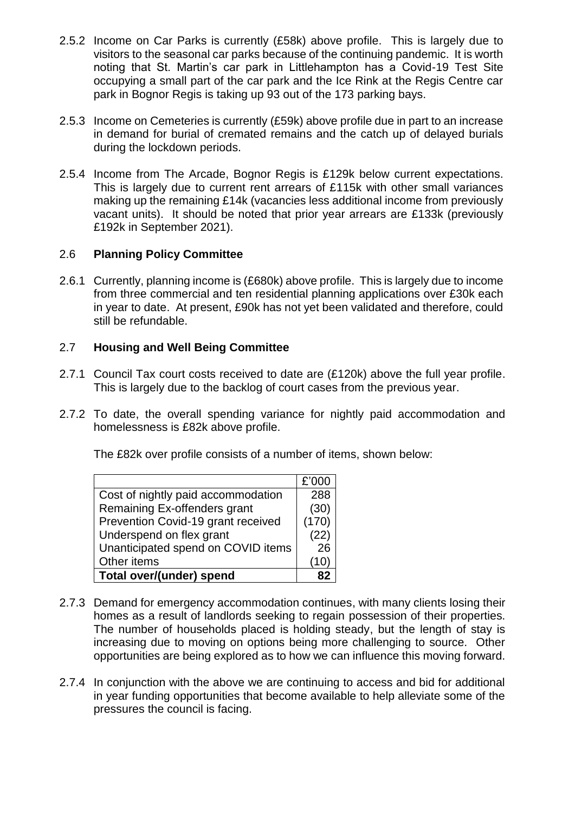- 2.5.2 Income on Car Parks is currently (£58k) above profile. This is largely due to visitors to the seasonal car parks because of the continuing pandemic. It is worth noting that St. Martin's car park in Littlehampton has a Covid-19 Test Site occupying a small part of the car park and the Ice Rink at the Regis Centre car park in Bognor Regis is taking up 93 out of the 173 parking bays.
- 2.5.3 Income on Cemeteries is currently (£59k) above profile due in part to an increase in demand for burial of cremated remains and the catch up of delayed burials during the lockdown periods.
- 2.5.4 Income from The Arcade, Bognor Regis is £129k below current expectations. This is largely due to current rent arrears of £115k with other small variances making up the remaining £14k (vacancies less additional income from previously vacant units). It should be noted that prior year arrears are £133k (previously £192k in September 2021).

#### 2.6 **Planning Policy Committee**

2.6.1 Currently, planning income is (£680k) above profile. This is largely due to income from three commercial and ten residential planning applications over £30k each in year to date. At present, £90k has not yet been validated and therefore, could still be refundable.

#### 2.7 **Housing and Well Being Committee**

- 2.7.1 Council Tax court costs received to date are (£120k) above the full year profile. This is largely due to the backlog of court cases from the previous year.
- 2.7.2 To date, the overall spending variance for nightly paid accommodation and homelessness is £82k above profile.

The £82k over profile consists of a number of items, shown below:

|                                    | £'000 |
|------------------------------------|-------|
| Cost of nightly paid accommodation | 288   |
| Remaining Ex-offenders grant       | (30)  |
| Prevention Covid-19 grant received | (170) |
| Underspend on flex grant           | (22)  |
| Unanticipated spend on COVID items | 26    |
| Other items                        |       |
| Total over/(under) spend           |       |

- 2.7.3 Demand for emergency accommodation continues, with many clients losing their homes as a result of landlords seeking to regain possession of their properties. The number of households placed is holding steady, but the length of stay is increasing due to moving on options being more challenging to source. Other opportunities are being explored as to how we can influence this moving forward.
- 2.7.4 In conjunction with the above we are continuing to access and bid for additional in year funding opportunities that become available to help alleviate some of the pressures the council is facing.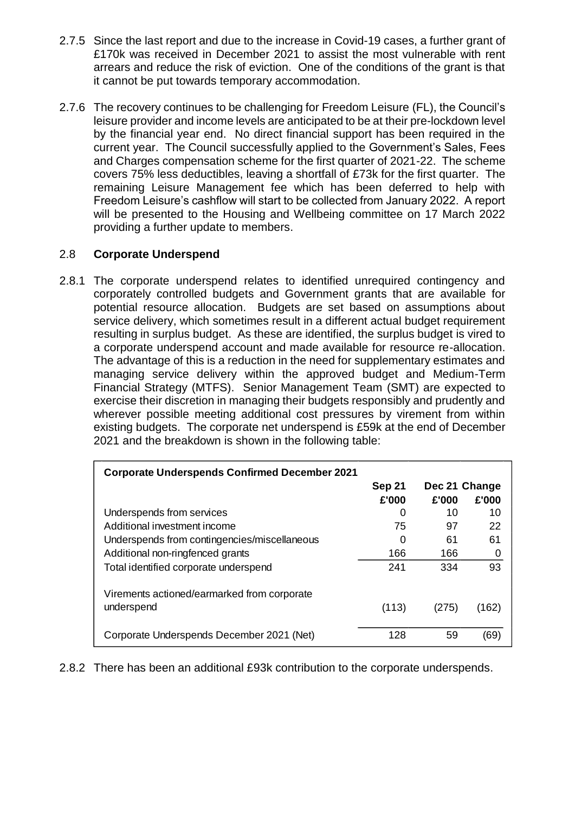- 2.7.5 Since the last report and due to the increase in Covid-19 cases, a further grant of £170k was received in December 2021 to assist the most vulnerable with rent arrears and reduce the risk of eviction. One of the conditions of the grant is that it cannot be put towards temporary accommodation.
- 2.7.6 The recovery continues to be challenging for Freedom Leisure (FL), the Council's leisure provider and income levels are anticipated to be at their pre-lockdown level by the financial year end. No direct financial support has been required in the current year. The Council successfully applied to the Government's Sales, Fees and Charges compensation scheme for the first quarter of 2021-22. The scheme covers 75% less deductibles, leaving a shortfall of £73k for the first quarter. The remaining Leisure Management fee which has been deferred to help with Freedom Leisure's cashflow will start to be collected from January 2022. A report will be presented to the Housing and Wellbeing committee on 17 March 2022 providing a further update to members.

#### 2.8 **Corporate Underspend**

2.8.1 The corporate underspend relates to identified unrequired contingency and corporately controlled budgets and Government grants that are available for potential resource allocation. Budgets are set based on assumptions about service delivery, which sometimes result in a different actual budget requirement resulting in surplus budget. As these are identified, the surplus budget is vired to a corporate underspend account and made available for resource re-allocation. The advantage of this is a reduction in the need for supplementary estimates and managing service delivery within the approved budget and Medium-Term Financial Strategy (MTFS). Senior Management Team (SMT) are expected to exercise their discretion in managing their budgets responsibly and prudently and wherever possible meeting additional cost pressures by virement from within existing budgets. The corporate net underspend is £59k at the end of December 2021 and the breakdown is shown in the following table:

| <b>Corporate Underspends Confirmed December 2021</b>      |        |               |       |
|-----------------------------------------------------------|--------|---------------|-------|
|                                                           | Sep 21 | Dec 21 Change |       |
|                                                           | £'000  | £'000         | £'000 |
| Underspends from services                                 | 0      | 10            | 10    |
| Additional investment income                              | 75     | 97            | 22    |
| Underspends from contingencies/miscellaneous              | 0      | 61            | 61    |
| Additional non-ringfenced grants                          | 166    | 166           | 0     |
| Total identified corporate underspend                     | 241    | 334           | 93    |
| Virements actioned/earmarked from corporate<br>underspend | (113)  | (275)         | (162) |
| Corporate Underspends December 2021 (Net)                 | 128    | 59            | (69)  |

2.8.2 There has been an additional £93k contribution to the corporate underspends.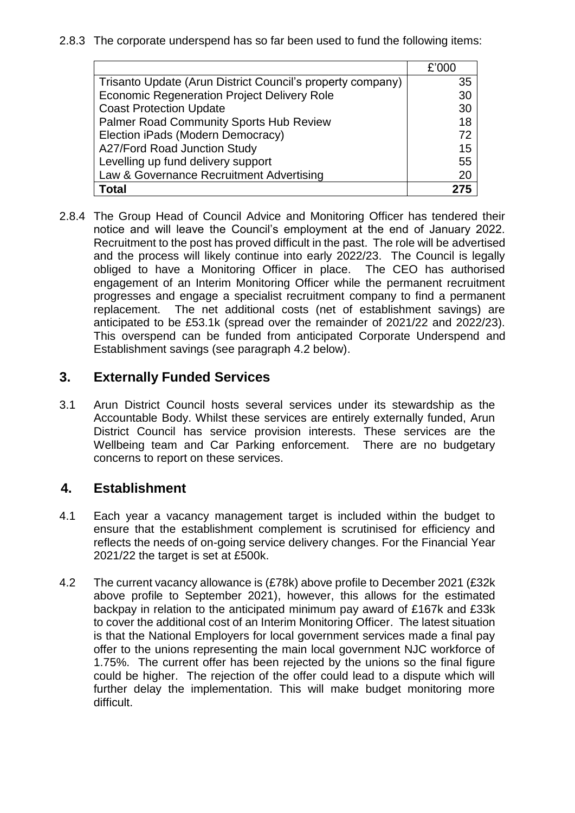2.8.3 The corporate underspend has so far been used to fund the following items:

|                                                            | £'000 |
|------------------------------------------------------------|-------|
| Trisanto Update (Arun District Council's property company) | 35    |
| <b>Economic Regeneration Project Delivery Role</b>         | 30    |
| <b>Coast Protection Update</b>                             | 30    |
| Palmer Road Community Sports Hub Review                    | 18    |
| Election iPads (Modern Democracy)                          | 72    |
| A27/Ford Road Junction Study                               | 15    |
| Levelling up fund delivery support                         | 55    |
| Law & Governance Recruitment Advertising                   | 20    |
| Total                                                      |       |

2.8.4 The Group Head of Council Advice and Monitoring Officer has tendered their notice and will leave the Council's employment at the end of January 2022. Recruitment to the post has proved difficult in the past. The role will be advertised and the process will likely continue into early 2022/23. The Council is legally obliged to have a Monitoring Officer in place. The CEO has authorised engagement of an Interim Monitoring Officer while the permanent recruitment progresses and engage a specialist recruitment company to find a permanent replacement. The net additional costs (net of establishment savings) are anticipated to be £53.1k (spread over the remainder of 2021/22 and 2022/23). This overspend can be funded from anticipated Corporate Underspend and Establishment savings (see paragraph 4.2 below).

### **3. Externally Funded Services**

3.1 Arun District Council hosts several services under its stewardship as the Accountable Body. Whilst these services are entirely externally funded, Arun District Council has service provision interests. These services are the Wellbeing team and Car Parking enforcement. There are no budgetary concerns to report on these services.

## **4. Establishment**

- 4.1 Each year a vacancy management target is included within the budget to ensure that the establishment complement is scrutinised for efficiency and reflects the needs of on-going service delivery changes. For the Financial Year 2021/22 the target is set at £500k.
- 4.2 The current vacancy allowance is (£78k) above profile to December 2021 (£32k above profile to September 2021), however, this allows for the estimated backpay in relation to the anticipated minimum pay award of £167k and £33k to cover the additional cost of an Interim Monitoring Officer. The latest situation is that the National Employers for local government services made a final pay offer to the unions representing the main local government NJC workforce of 1.75%. The current offer has been rejected by the unions so the final figure could be higher. The rejection of the offer could lead to a dispute which will further delay the implementation. This will make budget monitoring more difficult.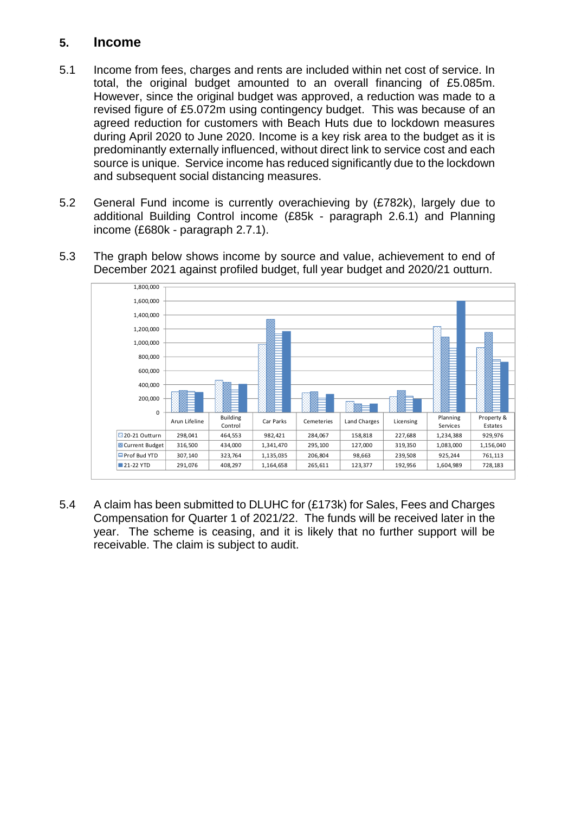#### **5. Income**

- 5.1 Income from fees, charges and rents are included within net cost of service. In total, the original budget amounted to an overall financing of £5.085m. However, since the original budget was approved, a reduction was made to a revised figure of £5.072m using contingency budget. This was because of an agreed reduction for customers with Beach Huts due to lockdown measures during April 2020 to June 2020. Income is a key risk area to the budget as it is predominantly externally influenced, without direct link to service cost and each source is unique. Service income has reduced significantly due to the lockdown and subsequent social distancing measures.
- 5.2 General Fund income is currently overachieving by (£782k), largely due to additional Building Control income (£85k - paragraph 2.6.1) and Planning income (£680k - paragraph 2.7.1).
- 5.3 The graph below shows income by source and value, achievement to end of December 2021 against profiled budget, full year budget and 2020/21 outturn.



5.4 A claim has been submitted to DLUHC for (£173k) for Sales, Fees and Charges Compensation for Quarter 1 of 2021/22. The funds will be received later in the year. The scheme is ceasing, and it is likely that no further support will be receivable. The claim is subject to audit.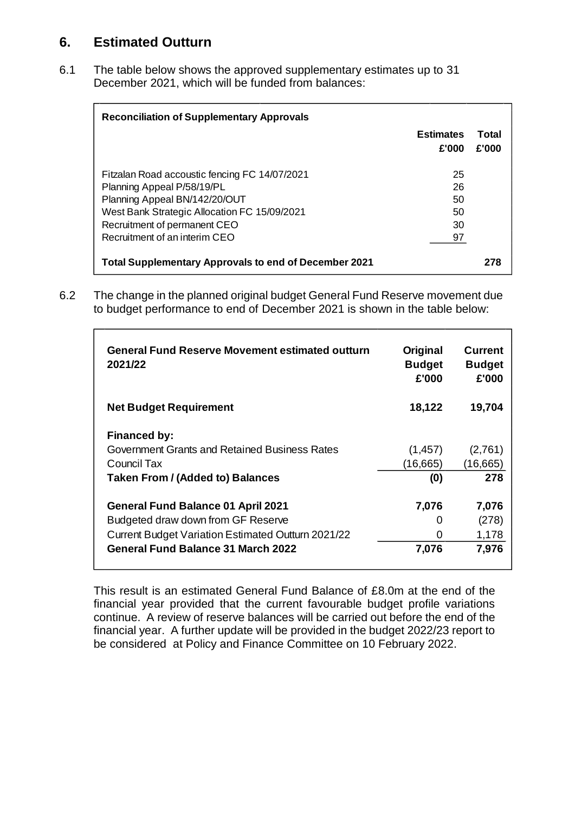# **6. Estimated Outturn**

6.1 The table below shows the approved supplementary estimates up to 31 December 2021, which will be funded from balances:

| <b>Reconciliation of Supplementary Approvals</b>                                                              |                           |                |
|---------------------------------------------------------------------------------------------------------------|---------------------------|----------------|
|                                                                                                               | <b>Estimates</b><br>£'000 | Total<br>£'000 |
| Fitzalan Road accoustic fencing FC 14/07/2021<br>Planning Appeal P/58/19/PL<br>Planning Appeal BN/142/20/OUT  | 25<br>26<br>50            |                |
| West Bank Strategic Allocation FC 15/09/2021<br>Recruitment of permanent CEO<br>Recruitment of an interim CEO | 50<br>30<br>97            |                |
| <b>Total Supplementary Approvals to end of December 2021</b>                                                  |                           |                |

6.2 The change in the planned original budget General Fund Reserve movement due to budget performance to end of December 2021 is shown in the table below:

| Original<br><b>Budget</b><br>£'000 | <b>Current</b><br><b>Budget</b><br>£'000 |
|------------------------------------|------------------------------------------|
| 18,122                             | 19,704                                   |
|                                    |                                          |
| (1, 457)                           | (2,761)                                  |
| (16,665)                           | (16,665)                                 |
| (0)                                | 278                                      |
| 7,076                              | 7,076                                    |
| 0                                  | (278)                                    |
| 0                                  | 1,178                                    |
| 7,076                              | 7,976                                    |
|                                    |                                          |

This result is an estimated General Fund Balance of £8.0m at the end of the financial year provided that the current favourable budget profile variations continue. A review of reserve balances will be carried out before the end of the financial year. A further update will be provided in the budget 2022/23 report to be considered at Policy and Finance Committee on 10 February 2022.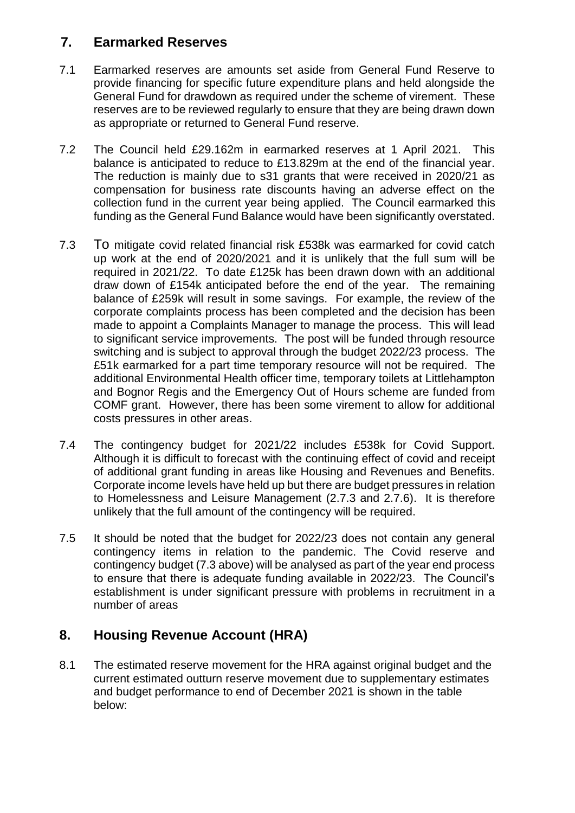# **7. Earmarked Reserves**

- 7.1 Earmarked reserves are amounts set aside from General Fund Reserve to provide financing for specific future expenditure plans and held alongside the General Fund for drawdown as required under the scheme of virement. These reserves are to be reviewed regularly to ensure that they are being drawn down as appropriate or returned to General Fund reserve.
- 7.2 The Council held £29.162m in earmarked reserves at 1 April 2021. This balance is anticipated to reduce to £13.829m at the end of the financial year. The reduction is mainly due to s31 grants that were received in 2020/21 as compensation for business rate discounts having an adverse effect on the collection fund in the current year being applied. The Council earmarked this funding as the General Fund Balance would have been significantly overstated.
- 7.3 To mitigate covid related financial risk £538k was earmarked for covid catch up work at the end of 2020/2021 and it is unlikely that the full sum will be required in 2021/22. To date £125k has been drawn down with an additional draw down of £154k anticipated before the end of the year. The remaining balance of £259k will result in some savings. For example, the review of the corporate complaints process has been completed and the decision has been made to appoint a Complaints Manager to manage the process. This will lead to significant service improvements. The post will be funded through resource switching and is subject to approval through the budget 2022/23 process. The £51k earmarked for a part time temporary resource will not be required. The additional Environmental Health officer time, temporary toilets at Littlehampton and Bognor Regis and the Emergency Out of Hours scheme are funded from COMF grant. However, there has been some virement to allow for additional costs pressures in other areas.
- 7.4 The contingency budget for 2021/22 includes £538k for Covid Support. Although it is difficult to forecast with the continuing effect of covid and receipt of additional grant funding in areas like Housing and Revenues and Benefits. Corporate income levels have held up but there are budget pressures in relation to Homelessness and Leisure Management (2.7.3 and 2.7.6). It is therefore unlikely that the full amount of the contingency will be required.
- 7.5 It should be noted that the budget for 2022/23 does not contain any general contingency items in relation to the pandemic. The Covid reserve and contingency budget (7.3 above) will be analysed as part of the year end process to ensure that there is adequate funding available in 2022/23. The Council's establishment is under significant pressure with problems in recruitment in a number of areas

# **8. Housing Revenue Account (HRA)**

8.1 The estimated reserve movement for the HRA against original budget and the current estimated outturn reserve movement due to supplementary estimates and budget performance to end of December 2021 is shown in the table below: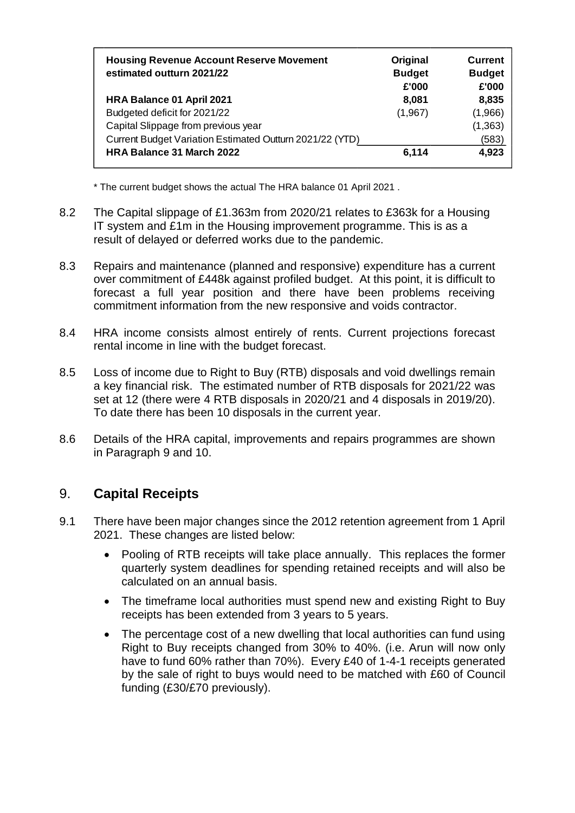| Original<br><b>Budget</b><br>£'000 | <b>Current</b><br><b>Budget</b><br>£'000 |
|------------------------------------|------------------------------------------|
| 8,081                              | 8,835                                    |
| (1,967)                            | (1,966)                                  |
|                                    | (1, 363)                                 |
|                                    | (583)                                    |
| 6,114                              | 4,923                                    |
|                                    |                                          |

\* The current budget shows the actual The HRA balance 01 April 2021 .

- 8.2 The Capital slippage of £1.363m from 2020/21 relates to £363k for a Housing IT system and £1m in the Housing improvement programme. This is as a result of delayed or deferred works due to the pandemic.
- 8.3 Repairs and maintenance (planned and responsive) expenditure has a current over commitment of £448k against profiled budget. At this point, it is difficult to forecast a full year position and there have been problems receiving commitment information from the new responsive and voids contractor.
- 8.4 HRA income consists almost entirely of rents. Current projections forecast rental income in line with the budget forecast.
- 8.5 Loss of income due to Right to Buy (RTB) disposals and void dwellings remain a key financial risk. The estimated number of RTB disposals for 2021/22 was set at 12 (there were 4 RTB disposals in 2020/21 and 4 disposals in 2019/20). To date there has been 10 disposals in the current year.
- 8.6 Details of the HRA capital, improvements and repairs programmes are shown in Paragraph 9 and 10.

## 9. **Capital Receipts**

- 9.1 There have been major changes since the 2012 retention agreement from 1 April 2021. These changes are listed below:
	- Pooling of RTB receipts will take place annually. This replaces the former quarterly system deadlines for spending retained receipts and will also be calculated on an annual basis.
	- The timeframe local authorities must spend new and existing Right to Buy receipts has been extended from 3 years to 5 years.
	- The percentage cost of a new dwelling that local authorities can fund using Right to Buy receipts changed from 30% to 40%. (i.e. Arun will now only have to fund 60% rather than 70%). Every £40 of 1-4-1 receipts generated by the sale of right to buys would need to be matched with £60 of Council funding (£30/£70 previously).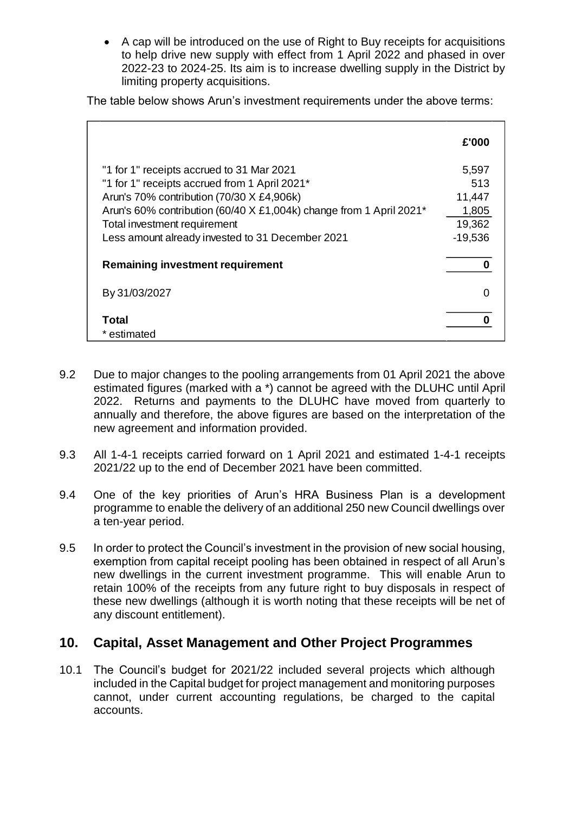A cap will be introduced on the use of Right to Buy receipts for acquisitions to help drive new supply with effect from 1 April 2022 and phased in over 2022-23 to 2024-25. Its aim is to increase dwelling supply in the District by limiting property acquisitions.

The table below shows Arun's investment requirements under the above terms:

| £'000     |
|-----------|
| 5,597     |
| 513       |
| 11,447    |
| 1,805     |
| 19,362    |
| $-19,536$ |
|           |
| ი         |
|           |
|           |

- 9.2 Due to major changes to the pooling arrangements from 01 April 2021 the above estimated figures (marked with a \*) cannot be agreed with the DLUHC until April 2022. Returns and payments to the DLUHC have moved from quarterly to annually and therefore, the above figures are based on the interpretation of the new agreement and information provided.
- 9.3 All 1-4-1 receipts carried forward on 1 April 2021 and estimated 1-4-1 receipts 2021/22 up to the end of December 2021 have been committed.
- 9.4 One of the key priorities of Arun's HRA Business Plan is a development programme to enable the delivery of an additional 250 new Council dwellings over a ten-year period.
- 9.5 In order to protect the Council's investment in the provision of new social housing, exemption from capital receipt pooling has been obtained in respect of all Arun's new dwellings in the current investment programme. This will enable Arun to retain 100% of the receipts from any future right to buy disposals in respect of these new dwellings (although it is worth noting that these receipts will be net of any discount entitlement).

#### **10. Capital, Asset Management and Other Project Programmes**

10.1 The Council's budget for 2021/22 included several projects which although included in the Capital budget for project management and monitoring purposes cannot, under current accounting regulations, be charged to the capital accounts.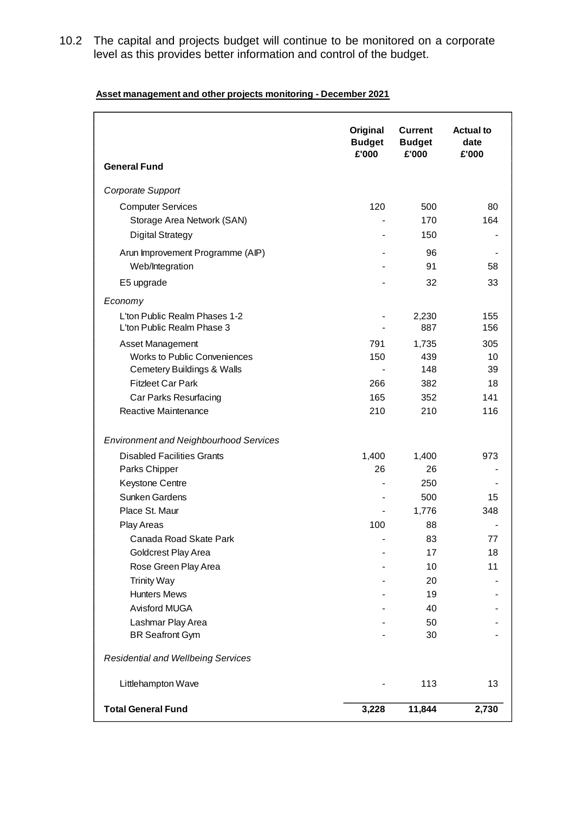10.2 The capital and projects budget will continue to be monitored on a corporate level as this provides better information and control of the budget.

| Asset management and other projects monitoring - December 2021 |
|----------------------------------------------------------------|
|----------------------------------------------------------------|

|                                               | Original<br><b>Budget</b><br>£'000 | <b>Current</b><br><b>Budget</b><br>£'000 | <b>Actual to</b><br>date<br>£'000 |
|-----------------------------------------------|------------------------------------|------------------------------------------|-----------------------------------|
| <b>General Fund</b>                           |                                    |                                          |                                   |
| Corporate Support                             |                                    |                                          |                                   |
| <b>Computer Services</b>                      | 120                                | 500                                      | 80                                |
| Storage Area Network (SAN)                    |                                    | 170                                      | 164                               |
| <b>Digital Strategy</b>                       |                                    | 150                                      |                                   |
| Arun Improvement Programme (AIP)              |                                    | 96                                       |                                   |
| Web/Integration                               |                                    | 91                                       | 58                                |
| E5 upgrade                                    |                                    | 32                                       | 33                                |
| Economy                                       |                                    |                                          |                                   |
| L'ton Public Realm Phases 1-2                 |                                    | 2,230                                    | 155                               |
| L'ton Public Realm Phase 3                    |                                    | 887                                      | 156                               |
| Asset Management                              | 791                                | 1,735                                    | 305                               |
| <b>Works to Public Conveniences</b>           | 150                                | 439                                      | 10                                |
| <b>Cemetery Buildings &amp; Walls</b>         |                                    | 148                                      | 39                                |
| <b>Fitzleet Car Park</b>                      | 266                                | 382                                      | 18                                |
| Car Parks Resurfacing                         | 165                                | 352                                      | 141                               |
| Reactive Maintenance                          | 210                                | 210                                      | 116                               |
| <b>Environment and Neighbourhood Services</b> |                                    |                                          |                                   |
| <b>Disabled Facilities Grants</b>             | 1,400                              | 1,400                                    | 973                               |
| Parks Chipper                                 | 26                                 | 26                                       |                                   |
| Keystone Centre                               |                                    | 250                                      |                                   |
| Sunken Gardens                                |                                    | 500                                      | 15                                |
| Place St. Maur                                |                                    | 1,776                                    | 348                               |
| Play Areas                                    | 100                                | 88                                       |                                   |
| Canada Road Skate Park                        |                                    | 83                                       | 77                                |
| Goldcrest Play Area                           |                                    | 17                                       | 18                                |
| Rose Green Play Area                          |                                    | 10                                       | 11                                |
| <b>Trinity Way</b>                            |                                    | 20                                       |                                   |
| <b>Hunters Mews</b>                           |                                    | 19                                       |                                   |
| Avisford MUGA                                 |                                    | 40                                       |                                   |
| Lashmar Play Area                             |                                    | 50                                       |                                   |
| <b>BR Seafront Gym</b>                        |                                    | 30                                       |                                   |
| <b>Residential and Wellbeing Services</b>     |                                    |                                          |                                   |
| Littlehampton Wave                            |                                    | 113                                      | 13                                |
| <b>Total General Fund</b>                     | 3,228                              | 11,844                                   | 2,730                             |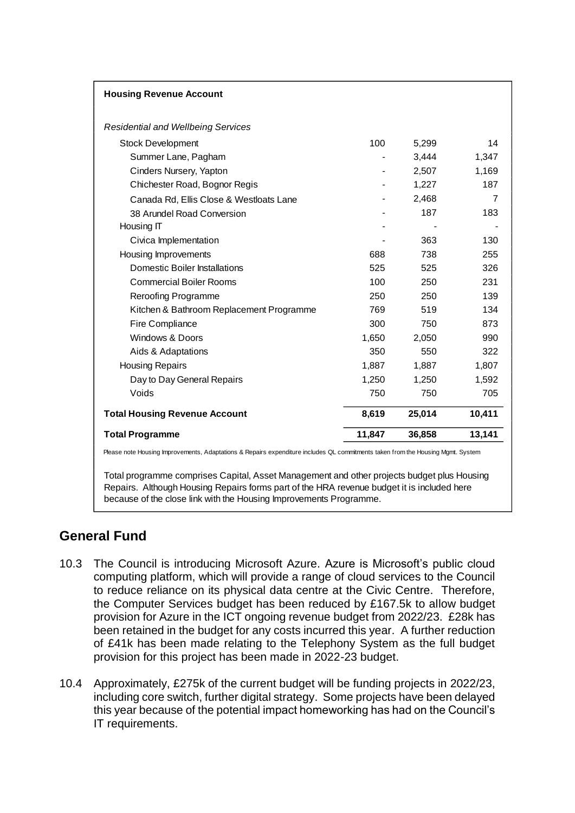| <b>Housing Revenue Account</b>            |        |        |        |
|-------------------------------------------|--------|--------|--------|
| <b>Residential and Wellbeing Services</b> |        |        |        |
| <b>Stock Development</b>                  | 100    | 5,299  | 14     |
| Summer Lane, Pagham                       |        | 3,444  | 1,347  |
| Cinders Nursery, Yapton                   |        | 2,507  | 1,169  |
| Chichester Road, Bognor Regis             |        | 1,227  | 187    |
| Canada Rd, Ellis Close & Westloats Lane   |        | 2,468  | 7      |
| 38 Arundel Road Conversion                |        | 187    | 183    |
| Housing IT                                |        |        |        |
| Civica Implementation                     |        | 363    | 130    |
| Housing Improvements                      | 688    | 738    | 255    |
| Domestic Boiler Installations             | 525    | 525    | 326    |
| <b>Commercial Boiler Rooms</b>            | 100    | 250    | 231    |
| <b>Reroofing Programme</b>                | 250    | 250    | 139    |
| Kitchen & Bathroom Replacement Programme  | 769    | 519    | 134    |
| Fire Compliance                           | 300    | 750    | 873    |
| Windows & Doors                           | 1,650  | 2,050  | 990    |
| Aids & Adaptations                        | 350    | 550    | 322    |
| <b>Housing Repairs</b>                    | 1,887  | 1,887  | 1,807  |
| Day to Day General Repairs                | 1,250  | 1,250  | 1,592  |
| Voids                                     | 750    | 750    | 705    |
| <b>Total Housing Revenue Account</b>      | 8,619  | 25,014 | 10,411 |
| <b>Total Programme</b>                    | 11,847 | 36,858 | 13,141 |

Total programme comprises Capital, Asset Management and other projects budget plus Housing Repairs. Although Housing Repairs forms part of the HRA revenue budget it is included here

because of the close link with the Housing Improvements Programme.

# **General Fund**

- 10.3 The Council is introducing Microsoft Azure. Azure is Microsoft's public cloud computing platform, which will provide a range of cloud services to the Council to reduce reliance on its physical data centre at the Civic Centre. Therefore, the Computer Services budget has been reduced by £167.5k to allow budget provision for Azure in the ICT ongoing revenue budget from 2022/23. £28k has been retained in the budget for any costs incurred this year. A further reduction of £41k has been made relating to the Telephony System as the full budget provision for this project has been made in 2022-23 budget.
- 10.4 Approximately, £275k of the current budget will be funding projects in 2022/23, including core switch, further digital strategy. Some projects have been delayed this year because of the potential impact homeworking has had on the Council's IT requirements.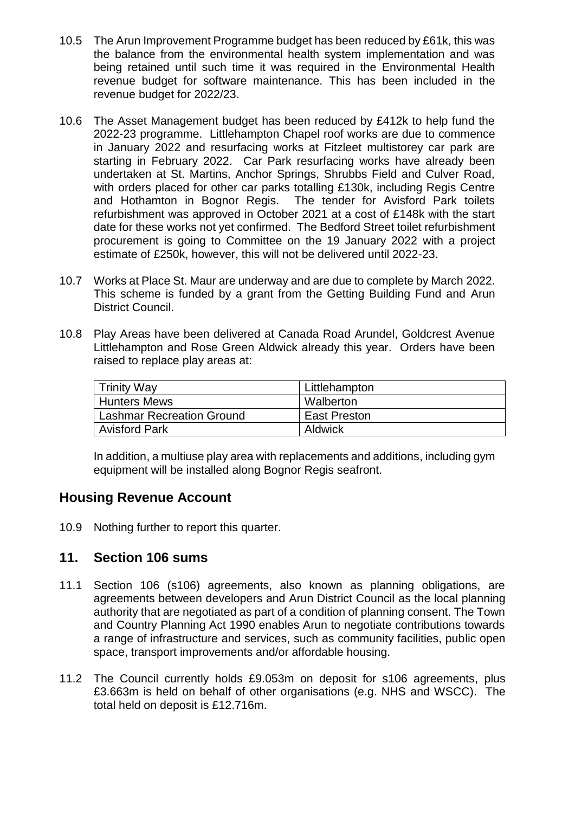- 10.5 The Arun Improvement Programme budget has been reduced by £61k, this was the balance from the environmental health system implementation and was being retained until such time it was required in the Environmental Health revenue budget for software maintenance. This has been included in the revenue budget for 2022/23.
- 10.6 The Asset Management budget has been reduced by £412k to help fund the 2022-23 programme. Littlehampton Chapel roof works are due to commence in January 2022 and resurfacing works at Fitzleet multistorey car park are starting in February 2022. Car Park resurfacing works have already been undertaken at St. Martins, Anchor Springs, Shrubbs Field and Culver Road, with orders placed for other car parks totalling £130k, including Regis Centre and Hothamton in Bognor Regis. The tender for Avisford Park toilets refurbishment was approved in October 2021 at a cost of £148k with the start date for these works not yet confirmed. The Bedford Street toilet refurbishment procurement is going to Committee on the 19 January 2022 with a project estimate of £250k, however, this will not be delivered until 2022-23.
- 10.7 Works at Place St. Maur are underway and are due to complete by March 2022. This scheme is funded by a grant from the Getting Building Fund and Arun District Council.
- 10.8 Play Areas have been delivered at Canada Road Arundel, Goldcrest Avenue Littlehampton and Rose Green Aldwick already this year. Orders have been raised to replace play areas at:

| Trinity Way               | Littlehampton       |
|---------------------------|---------------------|
| l Hunters Mews            | Walberton           |
| Lashmar Recreation Ground | <b>East Preston</b> |
| <b>Avisford Park</b>      | Aldwick             |

In addition, a multiuse play area with replacements and additions, including gym equipment will be installed along Bognor Regis seafront.

#### **Housing Revenue Account**

10.9 Nothing further to report this quarter.

#### **11. Section 106 sums**

- 11.1 Section 106 (s106) agreements, also known as planning obligations, are agreements between developers and Arun District Council as the local planning authority that are negotiated as part of a condition of planning consent. The Town and Country Planning Act 1990 enables Arun to negotiate contributions towards a range of infrastructure and services, such as community facilities, public open space, transport improvements and/or affordable housing.
- 11.2 The Council currently holds £9.053m on deposit for s106 agreements, plus £3.663m is held on behalf of other organisations (e.g. NHS and WSCC). The total held on deposit is £12.716m.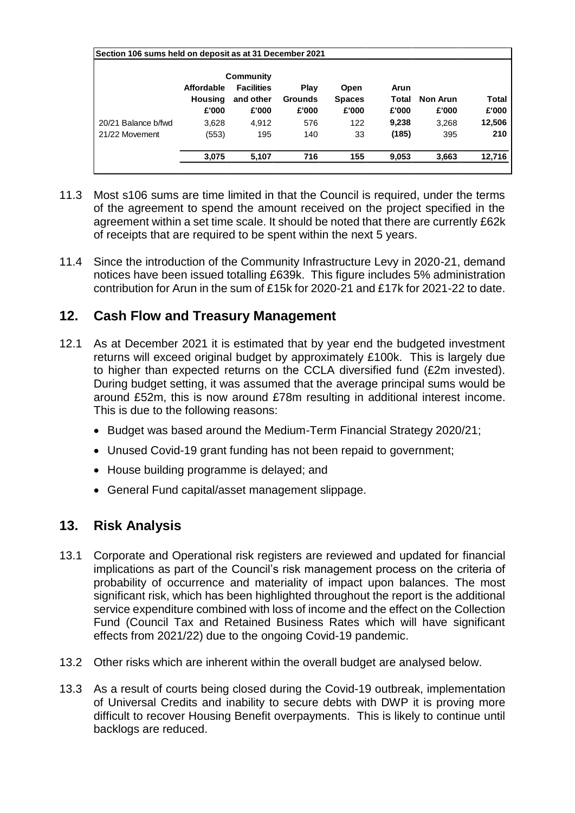| Section 106 sums held on deposit as at 31 December 2021 |                |                   |                |               |       |                 |        |
|---------------------------------------------------------|----------------|-------------------|----------------|---------------|-------|-----------------|--------|
|                                                         | Community      |                   |                |               |       |                 |        |
|                                                         | Affordable     | <b>Facilities</b> | <b>Play</b>    | Open          | Arun  |                 |        |
|                                                         | <b>Housing</b> | and other         | <b>Grounds</b> | <b>Spaces</b> | Total | <b>Non Arun</b> | Total  |
|                                                         | £'000          | £'000             | £'000          | £'000         | £'000 | £'000           | £'000  |
| 20/21 Balance b/fwd                                     | 3.628          | 4.912             | 576            | 122           | 9,238 | 3.268           | 12,506 |
| 21/22 Movement                                          | (553)          | 195               | 140            | 33            | (185) | 395             | 210    |
|                                                         | 3,075          | 5,107             | 716            | 155           | 9,053 | 3,663           | 12,716 |

- 11.3 Most s106 sums are time limited in that the Council is required, under the terms of the agreement to spend the amount received on the project specified in the agreement within a set time scale. It should be noted that there are currently £62k of receipts that are required to be spent within the next 5 years.
- 11.4 Since the introduction of the Community Infrastructure Levy in 2020-21, demand notices have been issued totalling £639k. This figure includes 5% administration contribution for Arun in the sum of £15k for 2020-21 and £17k for 2021-22 to date.

## **12. Cash Flow and Treasury Management**

- 12.1 As at December 2021 it is estimated that by year end the budgeted investment returns will exceed original budget by approximately £100k. This is largely due to higher than expected returns on the CCLA diversified fund (£2m invested). During budget setting, it was assumed that the average principal sums would be around £52m, this is now around £78m resulting in additional interest income. This is due to the following reasons:
	- Budget was based around the Medium-Term Financial Strategy 2020/21;
	- Unused Covid-19 grant funding has not been repaid to government;
	- House building programme is delayed; and
	- General Fund capital/asset management slippage.

#### **13. Risk Analysis**

- 13.1 Corporate and Operational risk registers are reviewed and updated for financial implications as part of the Council's risk management process on the criteria of probability of occurrence and materiality of impact upon balances. The most significant risk, which has been highlighted throughout the report is the additional service expenditure combined with loss of income and the effect on the Collection Fund (Council Tax and Retained Business Rates which will have significant effects from 2021/22) due to the ongoing Covid-19 pandemic.
- 13.2 Other risks which are inherent within the overall budget are analysed below.
- 13.3 As a result of courts being closed during the Covid-19 outbreak, implementation of Universal Credits and inability to secure debts with DWP it is proving more difficult to recover Housing Benefit overpayments. This is likely to continue until backlogs are reduced.